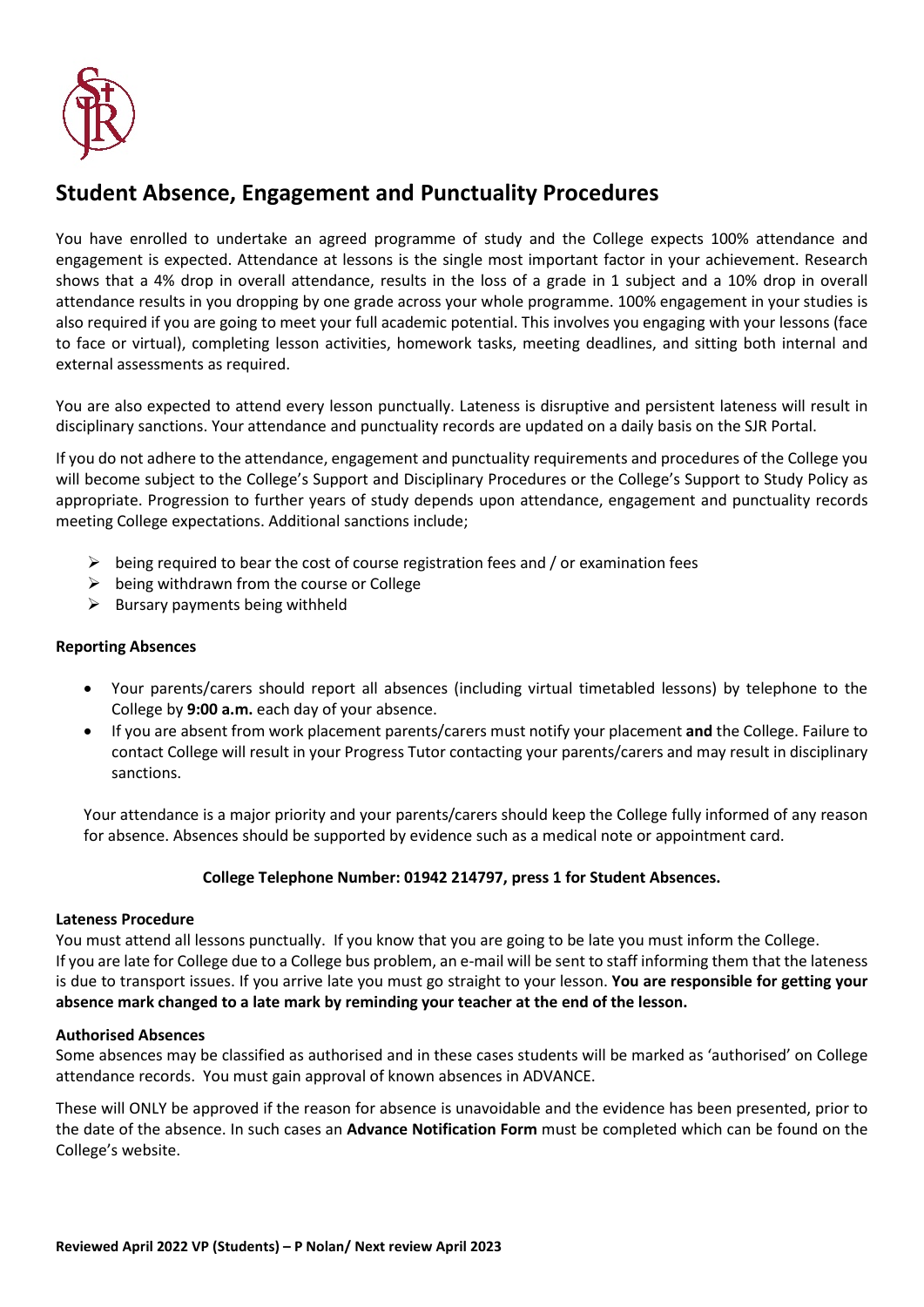

# **Student Absence, Engagement and Punctuality Procedures**

You have enrolled to undertake an agreed programme of study and the College expects 100% attendance and engagement is expected. Attendance at lessons is the single most important factor in your achievement. Research shows that a 4% drop in overall attendance, results in the loss of a grade in 1 subject and a 10% drop in overall attendance results in you dropping by one grade across your whole programme. 100% engagement in your studies is also required if you are going to meet your full academic potential. This involves you engaging with your lessons (face to face or virtual), completing lesson activities, homework tasks, meeting deadlines, and sitting both internal and external assessments as required.

You are also expected to attend every lesson punctually. Lateness is disruptive and persistent lateness will result in disciplinary sanctions. Your attendance and punctuality records are updated on a daily basis on the SJR Portal.

If you do not adhere to the attendance, engagement and punctuality requirements and procedures of the College you will become subject to the College's Support and Disciplinary Procedures or the College's Support to Study Policy as appropriate. Progression to further years of study depends upon attendance, engagement and punctuality records meeting College expectations. Additional sanctions include;

- $\triangleright$  being required to bear the cost of course registration fees and / or examination fees
- $\triangleright$  being withdrawn from the course or College
- $\triangleright$  Bursary payments being withheld

#### **Reporting Absences**

- Your parents/carers should report all absences (including virtual timetabled lessons) by telephone to the College by **9:00 a.m.** each day of your absence.
- If you are absent from work placement parents/carers must notify your placement **and** the College. Failure to contact College will result in your Progress Tutor contacting your parents/carers and may result in disciplinary sanctions.

Your attendance is a major priority and your parents/carers should keep the College fully informed of any reason for absence. Absences should be supported by evidence such as a medical note or appointment card.

#### **College Telephone Number: 01942 214797, press 1 for Student Absences.**

#### **Lateness Procedure**

You must attend all lessons punctually. If you know that you are going to be late you must inform the College. If you are late for College due to a College bus problem, an e-mail will be sent to staff informing them that the lateness is due to transport issues. If you arrive late you must go straight to your lesson. **You are responsible for getting your absence mark changed to a late mark by reminding your teacher at the end of the lesson.**

#### **Authorised Absences**

Some absences may be classified as authorised and in these cases students will be marked as 'authorised' on College attendance records. You must gain approval of known absences in ADVANCE.

These will ONLY be approved if the reason for absence is unavoidable and the evidence has been presented, prior to the date of the absence. In such cases an **Advance Notification Form** must be completed which can be found on the College's website.